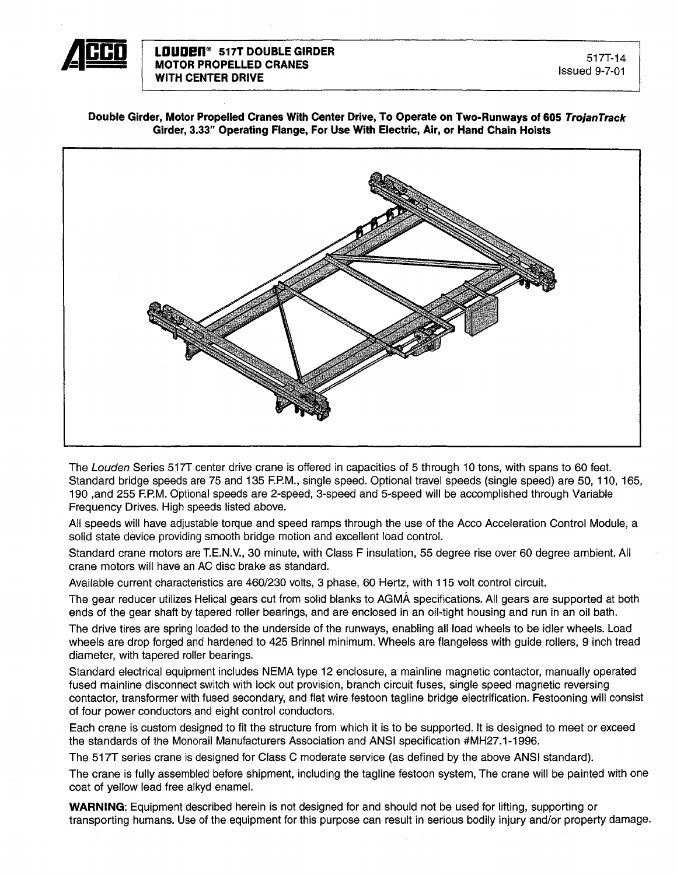

**Double Girder, Motor Propelled Cranes With Center Drive, To Operate on Two-Runways of 605 TrojanTrack Girder, 3.33" Operating Flange, For Use With Electric, Air, or Hand Chain Hoists**



The Louden Series 517T center drive crane is offered in capacities of 5 through 10 tons, with spans to 60 feet. Standard bridge speeds are 75 and 135 F.P.M., single speed. Optional travel speeds (single speed) are 50, 110, 165, 190 ,and 255 F.P.M. Optional speeds are 2-speed, 3-speed and 5-speed will be accomplished through Variable Frequency Drives. High speeds listed above.

All speeds will have adjustable torque and speed ramps through the use of the Acco Acceleration Control Module, a solid state device providing smooth bridge motion and excellent load control.

Standard crane motors are T.E.N.V., 30 minute, with Class F insulation, 55 degree rise over 60 degree ambient. All crane motors will have an AC disc brake as standard.

Available current characteristics are 460/230 volts, 3 phase, 60 Hertz, with 115 volt control circuit.

The gear reducer utilizes Helical gears cut from solid blanks to AGMA specifications. All gears are supported at both ends of the gear shaft by tapered roller bearings, and are enclosed in an oil-tight housing and run in an oil bath.

The drive tires are spring loaded to the underside of the runways, enabling all load wheels to be idler wheels. Load wheels are drop forged and hardened to 425 Brinnel minimum. Wheels are flangeless with guide rollers, 9 inch tread diameter, with tapered roller bearings.

Standard electrical equipment includes NEMA type 12 enclosure, a mainline magnetic contactor, manually operated fused mainline disconnect switch with lock out provision, branch circuit fuses, single speed magnetic reversing contactor, transformer with fused secondary, and flat wire festoon tagline bridge electrification. Festooning will consist of four power conductors and eight control conductors.

Each crane is custom designed to fit the structure from which it is to be supported. It is designed to meet or exceed the standards of the Monorail Manufacturers Association and ANSI specification #MH27.1-1996.

The 517T series crane is designed for Class C moderate service (as defined by the above ANSI standard).

The crane is fully assembled before shipment, including the tagline festoon system, The crane will be painted with one coat of yellow lead free alkyd enamel.

**WARNING:** Equipment described herein is not designed for and should not be used for lifting, supporting or transporting humans. Use of the equipment for this purpose can result in serious bodily injury and/or property damage.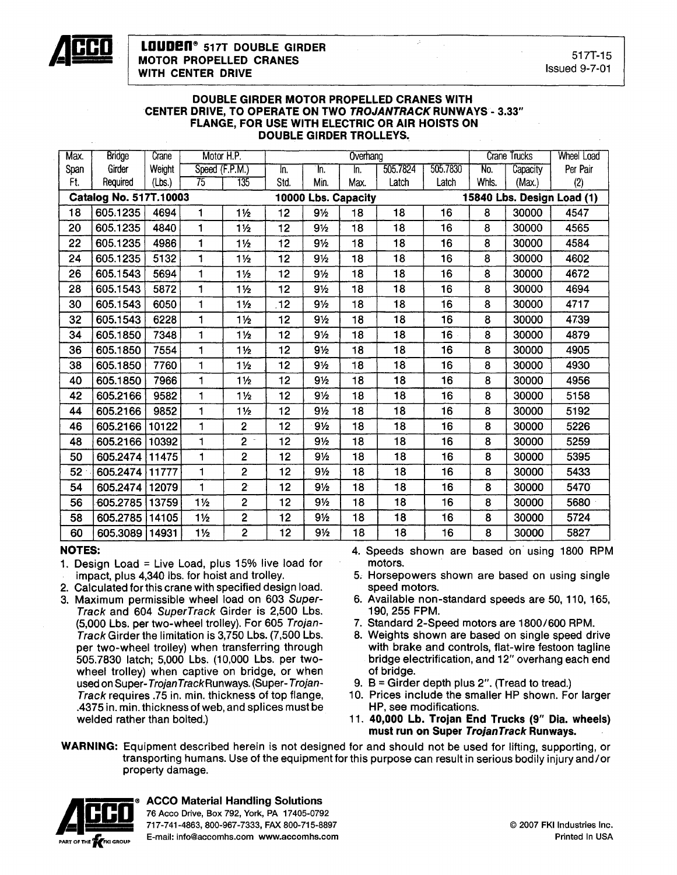

#### DOUBLE GIRDER MOTOR PROPELLED CRANES WITH CENTER DRIVE, TO OPERATE ON TWO TROJANTRACK RUNWAYS - 3.33" FLANGE, FOR USE WITH ELECTRIC OR AIR HOISTS ON DOUBLE GIRDER TROLLEYS.

| Max. | <b>Bridge</b>          | Crane  | Motor H.P.     |                      |                    |                | Overhang            | <b>Crane Trucks</b> |          | <b>Wheel Load</b>          |          |          |  |
|------|------------------------|--------|----------------|----------------------|--------------------|----------------|---------------------|---------------------|----------|----------------------------|----------|----------|--|
| Span | Girder                 | Weight | Speed (F.P.M.) |                      | $\overline{\ln}$ . | In.            | In.                 | 505.7824            | 505.7830 | No.                        | Capacity | Per Pair |  |
| Ft.  | Required               | (Lbs.) | 75             | 135                  | Std.               | Min.           | Max.                | Latch               | Latch    | Whls.                      | (Max.)   | (2)      |  |
|      | Catalog No. 517T.10003 |        |                |                      |                    |                | 10000 Lbs. Capacity |                     |          | 15840 Lbs. Design Load (1) |          |          |  |
| 18   | 605.1235               | 4694   | 1              | $1\frac{1}{2}$       | 12                 | 91/2           | 18                  | 18                  | 16       | 8                          | 30000    | 4547     |  |
| 20   | 605.1235               | 4840   | $\mathbf{1}$   | 1½                   | 12                 | 91/2           | 18                  | 18                  | 16       | 8                          | 30000    | 4565     |  |
| 22   | 605.1235               | 4986   | 1              | $1\frac{1}{2}$       | 12                 | 91/2           | 18                  | 18                  | 16       | 8                          | 30000    | 4584     |  |
| 24   | 605.1235               | 5132   | 1              | $1\frac{1}{2}$       | 12                 | 9½             | 18                  | 18                  | 16       | 8                          | 30000    | 4602     |  |
| 26   | 605.1543               | 5694   | 1              | $1\frac{1}{2}$       | 12                 | 9 <sub>2</sub> | 18                  | 18                  | 16       | 8                          | 30000    | 4672     |  |
| 28   | 605.1543               | 5872   | 1              | $1\frac{1}{2}$       | 12                 | 91/2           | 18                  | 18                  | 16       | 8                          | 30000    | 4694     |  |
| 30   | 605.1543               | 6050   | 1              | $1\frac{1}{2}$       | 12                 | 9 <sub>2</sub> | 18                  | 18                  | 16       | 8                          | 30000    | 4717     |  |
| 32   | 605.1543               | 6228   | 1              | $1\frac{1}{2}$       | 12                 | $9\frac{1}{2}$ | 18                  | 18                  | 16       | 8                          | 30000    | 4739     |  |
| 34   | 605.1850               | 7348   | 1              | $1\frac{1}{2}$       | 12                 | $9\frac{1}{2}$ | 18                  | 18                  | 16       | 8                          | 30000    | 4879     |  |
| 36   | 605.1850               | 7554   | 1              | 1½                   | 12                 | 91/2           | 18                  | 18                  | 16       | 8                          | 30000    | 4905     |  |
| 38   | 605.1850               | 7760   | 1              | $1\frac{1}{2}$       | 12                 | $9\frac{1}{2}$ | 18                  | 18                  | 16       | 8                          | 30000    | 4930     |  |
| 40   | 605.1850               | 7966   | 1              | $1\frac{1}{2}$       | 12                 | 91/2           | 18                  | 18                  | 16       | 8                          | 30000    | 4956     |  |
| 42   | 605.2166               | 9582   | 1              | $1\frac{1}{2}$       | 12                 | 9 <sub>2</sub> | 18                  | 18                  | 16       | 8                          | 30000    | 5158     |  |
| 44   | 605.2166               | 9852   | $\blacksquare$ | $1\frac{1}{2}$       | 12                 | $9\frac{1}{2}$ | 18                  | 18                  | 16       | 8                          | 30000    | 5192     |  |
| 46   | 605.2166               | 10122  | 1              | $\overline{2}$       | 12                 | 9 <sub>2</sub> | 18                  | 18                  | 16       | 8                          | 30000    | 5226     |  |
| 48   | 605.2166               | 10392  | 1              | $2 -$                | 12                 | $9\frac{1}{2}$ | 18                  | 18                  | 16       | 8                          | 30000    | 5259     |  |
| 50   | 605.2474               | 11475  | 1              | $\overline{2}$       | 12                 | 9½             | 18                  | 18                  | 16       | 8                          | 30000    | 5395     |  |
| 52   | 605.2474               | 11777  | 1              | $\overline{2}$       | 12                 | $9\frac{1}{2}$ | 18                  | 18                  | 16       | 8                          | 30000    | 5433     |  |
| 54   | 605.2474               | 12079  | 1              | $\mathbf{2}^{\circ}$ | 12                 | $9\frac{1}{2}$ | 18                  | 18                  | 16       | 8                          | 30000    | 5470     |  |
| 56   | 605.2785 13759         |        | $1\frac{1}{2}$ | $\overline{c}$       | 12                 | $9\frac{1}{2}$ | 18                  | 18                  | 16       | 8                          | 30000    | 5680     |  |
| 58   | 605.2785               | 14105  | $1\frac{1}{2}$ | $\overline{2}$       | 12                 | $9\frac{1}{2}$ | 18                  | 18                  | 16       | 8                          | 30000    | 5724     |  |
| 60   | 605.3089 14931         |        | $1\frac{1}{2}$ | $\overline{2}$       | 12                 | $9\frac{1}{2}$ | 18                  | 18                  | 16       | 8                          | 30000    | 5827     |  |

### NOTES:

- 1. Design Load = Live Load, plus  $15\%$  live load for
- impact, plus 4,340 Ibs. for hoist and trolley.
- 2. Calculated for this crane with specified design load.
- 3. Maximum permissible wheel load on 603 Super-Track and 604 SuperTrack Girder is 2,500 Lbs. (5,000 Lbs. per two-wheel trolley). For 605 Trojan-Track Girder the limitation is 3,750 Lbs. (7,500 Lbs. per two-wheel trolley) when transferring through 505.7830 latch; 5,000 Lbs. (10,000 Lbs. per twowheel trolley) when captive on bridge, or when used on Super-TrojanTrackRunways. (Super-Trojan-Track requires .75 in. min. thickness of top flange, .4375 in. min. thickness of web, and splices must be welded rather than bolted.)
- 4. Speeds shown are based on using 1800 RPM motors.
- 5, Horsepowers shown are based on using single speed motors.
- 6. Available non-standard speeds are 50,110,165, 190, 255 FPM.
- 7. Standard 2-Speed motors are 1800/600 RPM.
- 8. Weights shown are based on single speed drive with brake and controls, flat-wire festoon tagline bridge electrification, and 12" overhang each end of bridge.
- 9.  $B =$  Girder depth plus 2". (Tread to tread.)
- 10. Prices include the smaller HP shown. For larger HP, see modifications.
- 11. 40,000 Lb. Trojan End Trucks (9" Dia. wheels) must run on Super TrojanTrack Runways.
- WARNING: Equipment described herein is not designed for and should not be used for lifting, supporting, or transporting humans. Use of the equipment for this purpose can result in serious bodily injury and/or property damage.



**ACCO Material Handling Solutions**<br>76 Acco Drive, Box 792, York, PA 17405-0792 <sup>76</sup> Acco Drive, Box 792, York, PA 17405-0792 **• CCO** 717-741-4863,800-967-7333, FAX 800-715-8897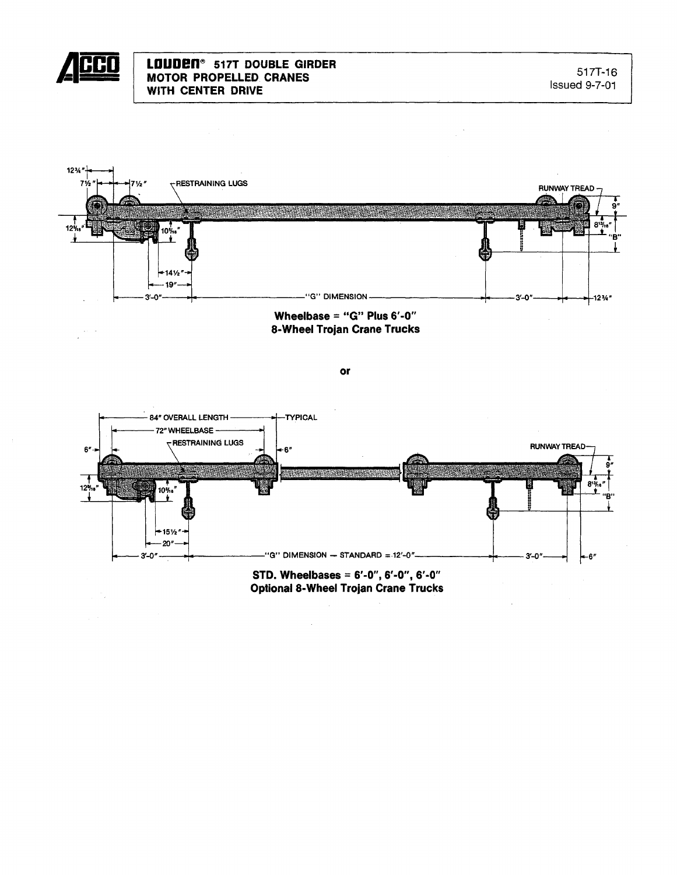





## STD. Wheelbases =  $6'-0''$ ,  $6'-0''$ ,  $6'-0''$ **Optional 8-Wheel Trojan Crane Trucks**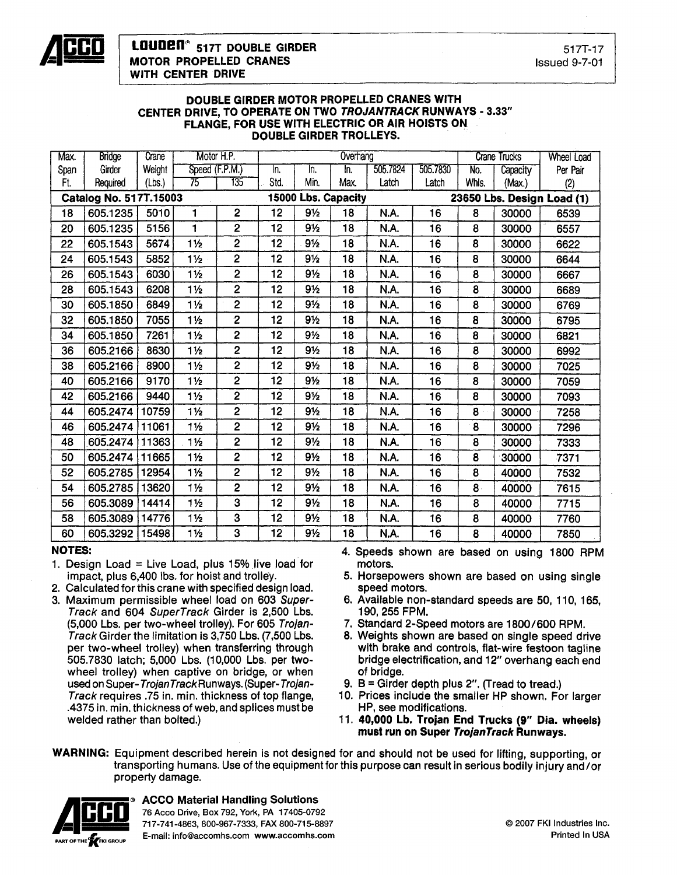

#### DOUBLE GIRDER MOTOR PROPELLED CRANES WITH CENTER DRIVE, TO OPERATE ON TWO TROJANTRACK RUNWAYS - 3.33" FLANGE, FOR USE WITH ELECTRIC OR AIR HOISTS ON DOUBLE GIRDER TROLLEYS.

| Max. | <b>Bridge</b>          | Crane  | Motor H.P.     |                         |      |                | Overhang            |             | <b>Crane Trucks</b> |                            | <b>Wheel Load</b> |          |  |
|------|------------------------|--------|----------------|-------------------------|------|----------------|---------------------|-------------|---------------------|----------------------------|-------------------|----------|--|
| Span | Girder                 | Weight | Speed (F.P.M.) |                         | In.  | In.            | In.                 | 505.7824    | 505.7830            | No.                        | Capacity          | Per Pair |  |
| Ft.  | Required               | (Lbs.) | 75             | 735                     | Std. | Min.           | Max.                | Latch       | Latch               | Whis.                      | (Max.)            | (2)      |  |
|      | Catalog No. 517T.15003 |        |                |                         |      |                | 15000 Lbs. Capacity |             |                     | 23650 Lbs. Design Load (1) |                   |          |  |
| 18   | 605.1235               | 5010   | 1              | $\overline{2}$          | 12   | 91/2           | 18                  | N.A.        | 16                  | 8                          | 30000             | 6539     |  |
| 20   | 605.1235               | 5156   | 1              | $\overline{2}$          | 12   | $9\frac{1}{2}$ | 18                  | <b>N.A.</b> | 16                  | 8                          | 30000             | 6557     |  |
| 22   | 605.1543               | 5674   | $1\frac{1}{2}$ | $\overline{2}$          | 12   | $9\frac{1}{2}$ | 18                  | N.A.        | 16                  | 8                          | 30000             | 6622     |  |
| 24   | 605.1543               | 5852   | 1½             | $\overline{c}$          | 12   | 9 <sub>2</sub> | 18                  | N.A.        | 16                  | 8                          | 30000             | 6644     |  |
| 26   | 605.1543               | 6030   | $1\frac{1}{2}$ | $\overline{2}$          | 12   | 9½             | 18                  | N.A.        | 16                  | 8                          | 30000             | 6667     |  |
| 28   | 605.1543               | 6208   | $1\frac{1}{2}$ | $\overline{2}$          | 12   | 9½             | 18                  | N.A.        | 16                  | 8                          | 30000             | 6689     |  |
| 30   | 605.1850               | 6849   | $1\frac{1}{2}$ | $\overline{2}$          | 12   | $9\frac{1}{2}$ | 18                  | N.A.        | 16                  | 8                          | 30000             | 6769     |  |
| 32   | 605.1850               | 7055   | $1\frac{1}{2}$ | $\overline{2}$          | 12   | $9\%$          | 18                  | <b>N.A.</b> | 16                  | 8                          | 30000             | 6795     |  |
| 34   | 605.1850               | 7261   | $1\frac{1}{2}$ | $\overline{c}$          | 12   | $9\frac{1}{2}$ | 18                  | N.A.        | 16                  | 8                          | 30000             | 6821     |  |
| 36   | 605.2166               | 8630   | $1\frac{1}{2}$ | 2                       | 12   | 91/2           | 18                  | N.A.        | 16                  | 8                          | 30000             | 6992     |  |
| 38   | 605.2166               | 8900   | $1\frac{1}{2}$ | $\overline{2}$          | 12   | $9\frac{1}{2}$ | 18                  | N.A.        | 16                  | 8                          | 30000             | 7025     |  |
| 40   | 605.2166               | 9170   | $1\frac{1}{2}$ | $\overline{2}$          | 12   | 91/2           | 18                  | N.A.        | 16                  | 8                          | 30000             | 7059     |  |
| 42   | 605.2166               | 9440   | $1\frac{1}{2}$ | $\overline{2}$          | 12   | 9½             | 18                  | N.A.        | 16                  | 8                          | 30000             | 7093     |  |
| 44   | 605.2474               | 10759  | 1 <sub>2</sub> | 2                       | 12   | $9\frac{1}{2}$ | 18                  | N.A.        | 16                  | 8                          | 30000             | 7258     |  |
| 46   | 605.2474               | 11061  | $1\frac{1}{2}$ | $\overline{2}$          | 12   | 9½             | 18                  | N.A.        | 16                  | 8                          | 30000             | 7296     |  |
| 48   | 605.2474               | 11363  | $1\frac{1}{2}$ | $\overline{2}$          | 12   | 9 <sub>2</sub> | 18                  | N.A.        | 16                  | 8                          | 30000             | 7333     |  |
| 50   | 605.2474               | 11665  | $1\frac{1}{2}$ | $\overline{\mathbf{c}}$ | 12   | $9\frac{1}{2}$ | 18                  | N.A.        | 16                  | 8                          | 30000             | 7371     |  |
| 52   | 605.2785               | 12954  | $1\frac{1}{2}$ | 2                       | 12   | 91/2           | 18                  | N.A.        | 16                  | 8                          | 40000             | 7532     |  |
| 54   | 605.2785               | 13620  | $1\frac{1}{2}$ | 2                       | 12   | $9\frac{1}{2}$ | 18                  | <b>N.A.</b> | 16                  | 8 <sub>1</sub>             | 40000             | 7615     |  |
| 56   | 605.3089               | 14414  | $1\frac{1}{2}$ | 3                       | 12   | $9\frac{1}{2}$ | 18                  | N.A.        | 16                  | 8                          | 40000             | 7715     |  |
| 58   | 605.3089               | 14776  | $1\frac{1}{2}$ | 3                       | 12   | $9\frac{1}{2}$ | 18                  | N.A.        | 16                  | 8                          | 40000             | 7760     |  |
| 60   | 605.3292               | 15498  | $1\frac{1}{2}$ | 3                       | 12   | $9\frac{1}{2}$ | 18                  | <b>N.A.</b> | 16                  | 8                          | 40000             | 7850     |  |

### NOTES:

- 1. Design Load = Live Load, plus 15% live load for impact, plus 6,400 Ibs. for hoist and trolley.
- 2. Calculated for this crane with specified design load.
- 3. Maximum permissible wheel load on 603 Super-Track and 604 SuperTrack Girder is 2,500 Lbs. (5,000 Lbs. per two-wheel trolley). For 605 Trojan-Track Girder the limitation is 3,750 Lbs. (7,500 Lbs. per two-wheel trolley) when transferring through 505.7830 latch; 5,000 Lbs. (10,000 Lbs. per twowheel trolley) when captive on bridge, or when used on Super-TrojanTrackRunways. (Super- Trojan-Track requires .75 in. min. thickness of top flange, .4375 in. min. thickness of web, and splices must be welded rather than bolted.)
- 4. Speeds shown are based on using 1800 RPM motors.
- 5. Horsepowers shown are based on using single speed motors.
- 6. Available non-standard speeds are 50, 110,165, 190, 255 FPM.
- 7. Standard 2-Speed motors are 1800/600 RPM.
- 8. Weights shown are based on single speed drive with brake and controls, flat-wire festoon tagline bridge electrification, and 12" overhang each end of bridge.
- 9.  $B =$  Girder depth plus 2". (Tread to tread.)
- 10. Prices include the smaller HP shown. For larger HP, see modifications.
- 11. 40,000 Lb. Trojan End Trucks (9" Dia. wheels) must run on Super TrojanTrack Runways.

WARNING: Equipment described herein is not designed for and should not be used for lifting, supporting, or transporting humans. Use of the equipment for this purpose can result in serious bodily injury and/or property damage.



## **ACCO Material Handling Solutions**

76 Acco Drive, Box 792, York, PA 17405-0792 **\_ CCO** 717-741-4863,800-967-7333, FAX 800-715-8897 E-mail: info@accomhs.com www.accomhs.com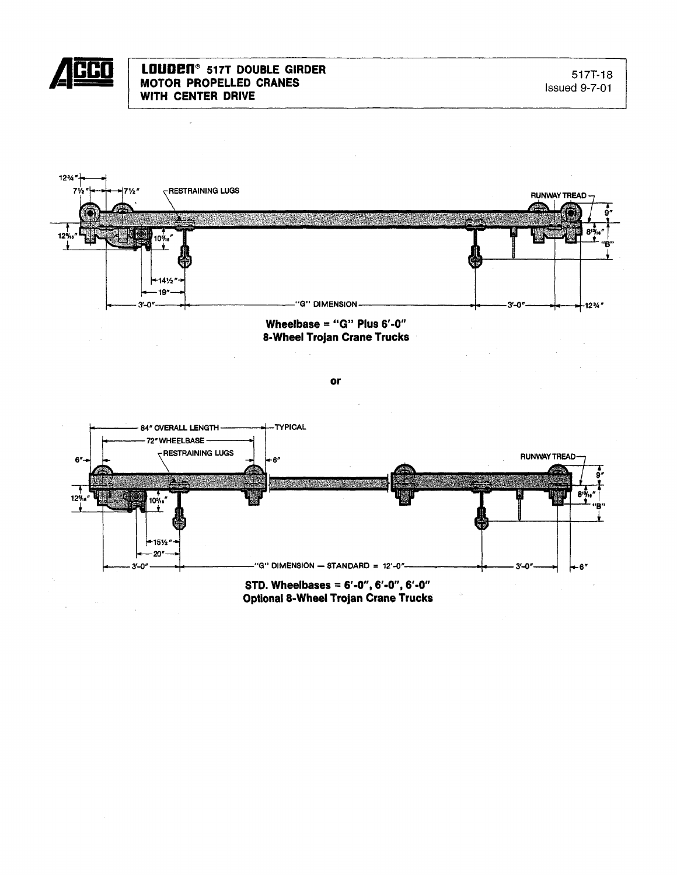

l,





 $or$ 



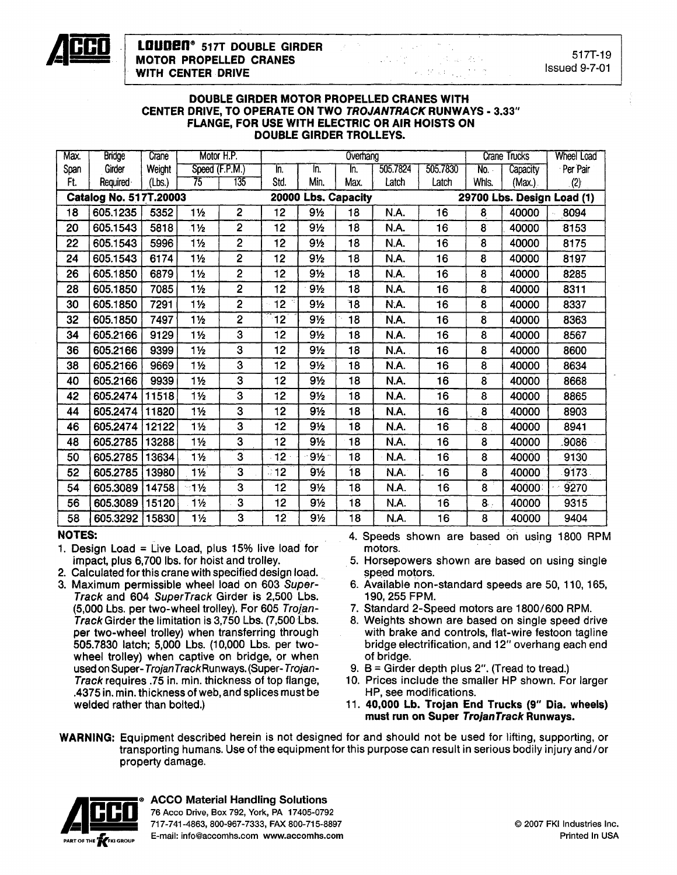

517T-19 Issued 9-7-01

#### DOUBLE GIRDER MOTOR PROPELLED CRANES WITH CENTER DRIVE, TO OPERATE ON TWO TROJANTRACK RUNWAYS - 3.33" FLANGE, FOR USE WITH ELECTRIC OR AIR HOISTS ON DOUBLE GIRDER TROLLEYS.

| Max. | <b>Bridge</b>          | Crane  | Motor H.P.      |                |      |                     | Overhang | <b>Crane Trucks</b> |          | <b>Wheel Load</b> |                 |                            |
|------|------------------------|--------|-----------------|----------------|------|---------------------|----------|---------------------|----------|-------------------|-----------------|----------------------------|
| Span | Girder                 | Weight | Speed (F.P.M.)  |                | In.  | In.                 | Īn.      | 505.7824            | 505.7830 | No.               | <b>Capacity</b> | Per Pair                   |
| Ft.  | Required               | (Lbs.) | 75              | 135            | Std. | Min.                | Max.     | Latch               | Latch    | Whis.             | (Max.)          | (2)                        |
|      | Catalog No. 517T.20003 |        |                 |                |      | 20000 Lbs. Capacity |          |                     |          |                   |                 | 29700 Lbs. Design Load (1) |
| 18   | 605.1235               | 5352   | $1\frac{1}{2}$  | $\overline{c}$ | 12   | $9\frac{1}{2}$      | 18       | N.A.                | 16       | 8                 | 40000           | 8094                       |
| 20   | 605.1543               | 5818   | $1\frac{1}{2}$  | $\overline{2}$ | 12   | 9½                  | 18       | N.A.                | 16       | 8                 | 40000           | 8153                       |
| 22   | 605.1543               | 5996   | $1\frac{1}{2}$  | $\overline{2}$ | 12   | 9½                  | 18       | N.A.                | 16       | 8                 | 40000           | 8175                       |
| 24   | 605.1543               | 6174   | $1\frac{1}{2}$  | $\overline{2}$ | 12   | 9 <sub>2</sub>      | 18       | N.A.                | 16       | 8                 | 40000           | 8197                       |
| 26   | 605.1850               | 6879   | $1\frac{1}{2}$  | $\overline{2}$ | 12   | 9½                  | 18       | N.A.                | 16       | 8                 | 40000           | 8285                       |
| 28   | 605.1850               | 7085   | $1\frac{1}{2}$  | $\overline{2}$ | 12   | $9\frac{1}{2}$      | 18       | N.A.                | 16       | 8                 | 40000           | 8311                       |
| 30   | 605.1850               | 7291   | 11/2            | $\overline{2}$ | 12   | $9\frac{1}{2}$      | 18       | N.A.                | 16       | 8                 | 40000           | 8337                       |
| 32   | 605.1850               | 7497   | $1\frac{1}{2}$  | $\overline{2}$ | 12   | $9\frac{1}{2}$      | 18       | N.A.                | 16       | 8                 | 40000           | 8363                       |
| 34   | 605.2166               | 9129   | $1\frac{1}{2}$  | 3              | 12   | 91/2                | 18       | N.A.                | 16       | 8                 | 40000           | 8567                       |
| 36   | 605.2166               | 9399   | $1\frac{1}{2}$  | 3              | 12   | 91/2                | 18       | N.A.                | 16       | 8                 | 40000           | 8600                       |
| 38   | 605.2166               | 9669   | 1 <sub>2</sub>  | 3              | 12   | $9\frac{1}{2}$      | 18       | N.A.                | 16       | 8                 | 40000           | 8634                       |
| 40   | 605.2166               | 9939   | $1\frac{1}{2}$  | 3              | 12   | 9 <sub>2</sub>      | 18       | N.A.                | 16       | 8                 | 40000           | 8668                       |
| 42   | 605.2474               | 11518  | $1\frac{1}{2}$  | 3              | 12   | $9\frac{1}{2}$      | 18       | N.A.                | 16       | 8                 | 40000           | 8865                       |
| 44   | 605.2474               | 11820  | $1\frac{1}{2}$  | 3              | 12   | $9\frac{1}{2}$      | 18       | N.A.                | 16       | 8                 | 40000           | 8903                       |
| 46   | 605.2474               | 12122  | $1\frac{1}{2}$  | 3              | 12   | 91/2                | 18       | N.A.                | 16       | 8                 | 40000           | 8941                       |
| 48   | 605.2785               | 13288  | $1\frac{1}{2}$  | 3              | 12   | 91/2                | 18       | N.A.                | 16       | 8                 | 40000           | 9086                       |
| 50   | 605.2785               | 13634  | $1\frac{1}{2}$  | 3              | 12   | $9\frac{1}{2}$      | 18       | N.A.                | 16       | 8                 | 40000           | 9130                       |
| 52   | 605.2785               | 13980  | $1\frac{1}{2}$  | 3              | ි 12 | $9\frac{1}{2}$      | 18       | N.A.                | 16       | 8                 | 40000           | 9173                       |
| 54   | 605.3089               | 14758  | $-1\frac{1}{2}$ | 3              | 12   | $9\frac{1}{2}$      | 18       | N.A.                | 16       | 8                 | 40000           | 9270                       |
| 56   | 605.3089               | 15120  | $1\frac{1}{2}$  | 3              | 12   | $9\frac{1}{2}$      | 18       | N.A.                | 16       | 8 <sub>1</sub>    | 40000           | 9315                       |
| 58   | 605.3292               | 15830  | $1\frac{1}{2}$  | 3              | 12   | 9½                  | 18       | N.A.                | 16       | 8                 | 40000           | 9404                       |
|      |                        |        |                 |                |      |                     |          |                     |          |                   |                 |                            |

### NOTES:

- 1. Design Load = Live Load, plus  $15\%$  live load for impact, plus 6,700 Ibs. for hoist and trolley.
- 2. Calculated for this crane with specified design load.
- 3. Maximum permissible wheel load on 603 Super-Track and 604 SuperTrack Girder is 2,500 Lbs. (5,000 Lbs. per two-wheel trolley). For 605 Trojan-Track Girder the limitation is 3,750 Lbs. (7,500 Lbs. per two-wheel trolley) when transferring through 505.7830 latch; 5,000 Lbs. (10,000 Lbs. per twowheel trolley) when captive on bridge, or when used on Super-TrojanTrackRunways. (Super-Trojan-Track requires .75 in. min. thickness of top flange, .4375 in. min. thickness of web, and splices must be welded rather than bolted.)
- 4. Speeds shown are based on using 1800 RPM motors.
- 5. Horsepowers shown are based on using single speed motors.
- 6. Available non-standard speeds are 50, 110, 165, 190, 255 FPM.
- 7. Standard 2-Speed motors are 1800/600 RPM.
- 8. Weights shown are based on single speed drive with brake and controls, flat-wire festoon tagline bridge electrification, and 12" overhang each end of bridge.
- 9. <sup>B</sup> =Girder depth plus 2". (Tread to tread.)
- 10. Prices include the smaller HP shown. For larger HP, see modifications.
- 11. 40,000 Lb. Trojan End Trucks (9" Dia. wheels) must run on Super TrojanTrack Runways.
- WARNING: Equipment described herein is not designed for and should not be used for lifting, supporting, or transporting humans. Use of the equipment for this purpose can result in serious bodily injury and/or property damage.



ACCO Material Handling Solutions<br>
76 Acco Drive, Box 792, York, PA 17405-0792<br> **PART OF THE EXEKI GROUP** E-mail: info@accomhs.com www.accomhs.com<br>
E-mail: info@accomhs.com www.accomhs.com \_ 717-741-4863, 800-967-7333, FAX 800-715-8897 **E-mail: info@accomhs.com www.accomhs.com**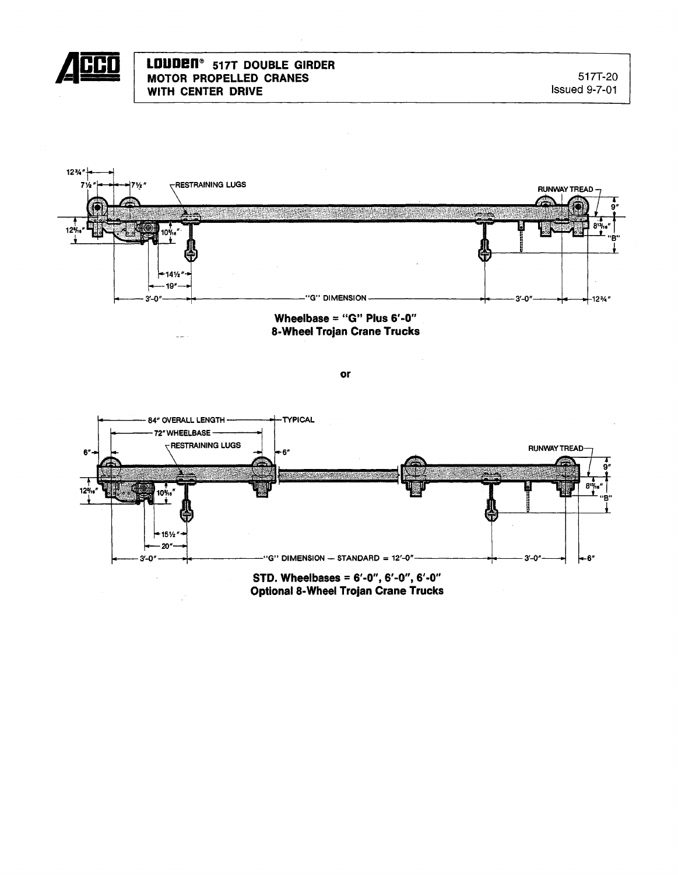

## **LOUDen@ 517T DOUBLE GIRDER MOTOR PROPELLED CRANES WITH CENTER DRIVE**



**or**



**Optional8-Wheel Trojan Crane Trucks**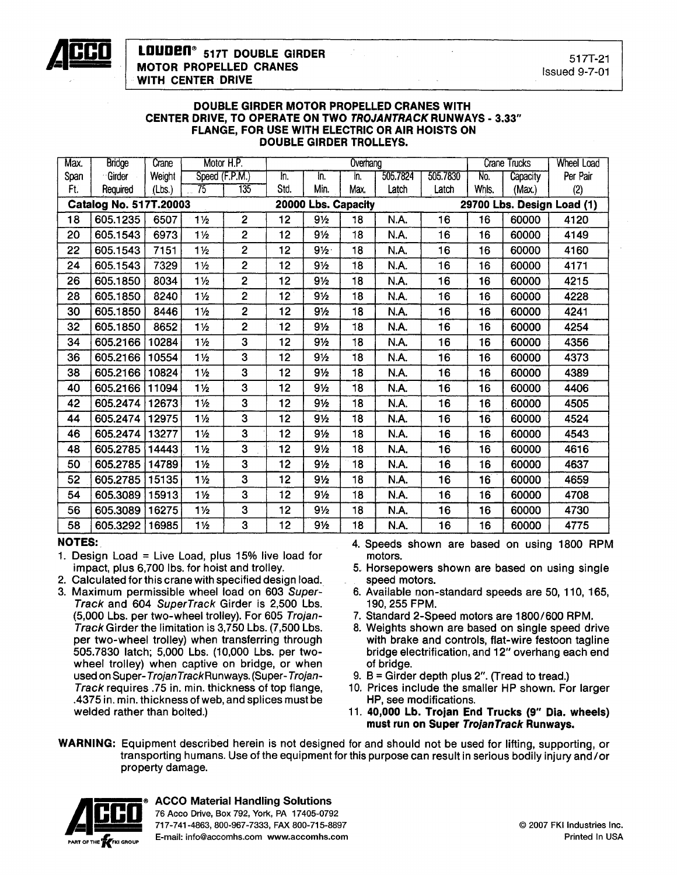

#### DOUBLE GIRDER MOTOR PROPELLED CRANES WITH CENTER DRIVE, TO OPERATE ON TWO TROJANTRACK RUNWAYS - 3,33" FLANGE, FOR USE WITH ELECTRIC OR AIR HOISTS ON DOUBLE GIRDER TROLLEYS.

| Max. | <b>Bridge</b>                 | Crane  | Motor H.P.     |                |      |                     | Overhang | Crane Trucks |          | <b>Wheel Load</b> |          |                            |
|------|-------------------------------|--------|----------------|----------------|------|---------------------|----------|--------------|----------|-------------------|----------|----------------------------|
| Span | Girder                        | Weight | Speed (F.P.M.) |                | In.  | In.                 | In.      | 505.7824     | 505.7830 | No.               | Capacity | Per Pair                   |
| Ft.  | Required                      | (Lbs.) | 75             | 135            | Std. | Min.                | Max.     | Latch        | Latch    | Whls.             | (Max.)   | (2)                        |
|      | <b>Catalog No. 517T.20003</b> |        |                |                |      | 20000 Lbs. Capacity |          |              |          |                   |          | 29700 Lbs. Design Load (1) |
| 18   | 605.1235                      | 6507   | $1\frac{1}{2}$ | $\overline{2}$ | 12   | 9½                  | 18       | N.A.         | 16       | 16                | 60000    | 4120                       |
| 20   | 605.1543                      | 6973   | $1\frac{1}{2}$ | $\overline{2}$ | 12   | $9\frac{1}{2}$      | 18       | N.A.         | 16       | 16                | 60000    | 4149                       |
| 22   | 605.1543                      | 7151   | $1\frac{1}{2}$ | $\overline{2}$ | 12   | $9\frac{1}{2}$      | 18       | N.A.         | 16       | 16                | 60000    | 4160                       |
| 24   | 605.1543                      | 7329   | $1\frac{1}{2}$ | $\overline{c}$ | 12   | $9\frac{1}{2}$      | 18       | N.A.         | 16       | 16                | 60000    | 4171                       |
| 26   | 605.1850                      | 8034   | $1\frac{1}{2}$ | $\overline{2}$ | 12   | $9\frac{1}{2}$      | 18       | N.A.         | 16       | 16                | 60000    | 4215                       |
| 28   | 605.1850                      | 8240   | $1\frac{1}{2}$ | $\overline{2}$ | 12   | $9\frac{1}{2}$      | 18       | N.A.         | 16       | 16                | 60000    | 4228                       |
| 30   | 605.1850                      | 8446   | $1\frac{1}{2}$ | $\overline{2}$ | 12   | $9\frac{1}{2}$      | 18       | N.A.         | 16       | 16                | 60000    | 4241                       |
| 32   | 605.1850                      | 8652   | $1\frac{1}{2}$ | $\overline{2}$ | 12   | $9\frac{1}{2}$      | 18       | N.A.         | 16       | 16                | 60000    | 4254                       |
| 34   | 605.2166                      | 10284  | $1\frac{1}{2}$ | 3              | 12   | $9\frac{1}{2}$      | 18       | N.A.         | 16       | 16                | 60000    | 4356                       |
| 36   | 605.2166                      | 10554  | $1\frac{1}{2}$ | 3              | 12   | $9\frac{1}{2}$      | 18       | N.A.         | 16       | 16                | 60000    | 4373                       |
| 38   | 605.2166                      | 10824  | $1\frac{1}{2}$ | 3              | 12   | $9\frac{1}{2}$      | 18       | N.A.         | 16       | 16                | 60000    | 4389                       |
| 40   | 605.2166                      | 11094  | $1\frac{1}{2}$ | 3              | 12   | $9\frac{1}{2}$      | 18       | N.A.         | 16       | 16                | 60000    | 4406                       |
| 42   | 605.2474                      | 12673  | $1\frac{1}{2}$ | 3              | 12   | $9\frac{1}{2}$      | 18       | N.A.         | 16       | 16                | 60000    | 4505                       |
| 44   | 605.2474                      | 12975  | $1\frac{1}{2}$ | 3              | 12   | 91/2                | 18       | N.A.         | 16       | 16                | 60000    | 4524                       |
| 46   | 605.2474                      | 13277  | $1\frac{1}{2}$ | 3              | 12   | $9\frac{1}{2}$      | 18       | N.A.         | 16       | 16                | 60000    | 4543                       |
| 48   | 605.2785                      | 14443  | $1\frac{1}{2}$ | $\overline{3}$ | 12   | $9\frac{1}{2}$      | 18       | N.A.         | 16       | 16                | 60000    | 4616                       |
| 50   | 605.2785                      | 14789  | $1\frac{1}{2}$ | 3              | 12   | $9\frac{1}{2}$      | 18       | N.A.         | 16       | 16                | 60000    | 4637                       |
| 52   | 605.2785                      | 15135  | $1\frac{1}{2}$ | 3              | 12   | $9\frac{1}{2}$      | 18       | N.A.         | 16       | 16                | 60000    | 4659                       |
| 54   | 605.3089                      | 15913  | $1\frac{1}{2}$ | 3              | 12   | $9\frac{1}{2}$      | 18       | N.A.         | 16       | 16                | 60000    | 4708                       |
| 56   | 605.3089                      | 16275  | $1\frac{1}{2}$ | 3              | 12   | $9\frac{1}{2}$      | 18       | N.A.         | 16       | 16                | 60000    | 4730                       |
| 58   | 605.3292                      | 16985  | $1\frac{1}{2}$ | 3              | 12   | $9\frac{1}{2}$      | 18       | N.A.         | 16       | 16                | 60000    | 4775                       |

### NOTES:

- 1. Design Load =Live Load, plus 15% live load for impact, plus 6,700 Ibs. for hoist and trolley.
- 2. Calculated for this crane with specified design load.
- 3. Maximum permissible wheel load on 603 Super-Track and 604 SuperTrack Girder is 2,500 Lbs. (5,000 Lbs. per two-wheel trolley). For 605 Trojan-Track Girder the limitation is 3,750 Lbs. (7,500 Lbs. per two-wheel trolley) when transferring through 505.7830 latch; 5,000 Lbs. (10,000 Lbs. per twowheel trolley) when captive on bridge, or when used on Super-TrojanTrackRunways. (Super- Trojan-Track requires .75 in. min. thickness of top flange, .4375 in. min. thickness of web, and splices must be welded rather than bolted.)
- 4. Speeds shown are based on using 1800 RPM motors.
- 5. Horsepowers shown are based on using single speed motors.
- 6. Available non-standard speeds are 50, 110, 165, 190,255 FPM.
- 7. Standard 2-Speed motors are 1800/600 RPM.
- 8. Weights shown are based on single speed drive with brake and controls, flat-wire festoon tagline bridge electrification, and 12" overhang each end of bridge.
- 9. 8 = Girder depth plus 2". (Tread to tread.)
- 10. Prices include the smaller HP shown. For larger HP, see modifications.
- 11. 40,000 Lb. Trojan End Trucks (9" Dia. wheels) must run on Super TrojanTrack Runways.
- WARNING: Equipment described herein is not designed for and should not be used for lifting, supporting, or transporting humans. Use of the equipment for this purpose can result in serious bodily injury and/or property damage.



ACCO Material Handling Solutions<br>
76 Acco Drive, Box 792, York, PA 17405-0792 \_ 717-741-4863,800-967-7333, FAX 800-715-8897 **E-mail: info@accomhs.com www.accomhs.com**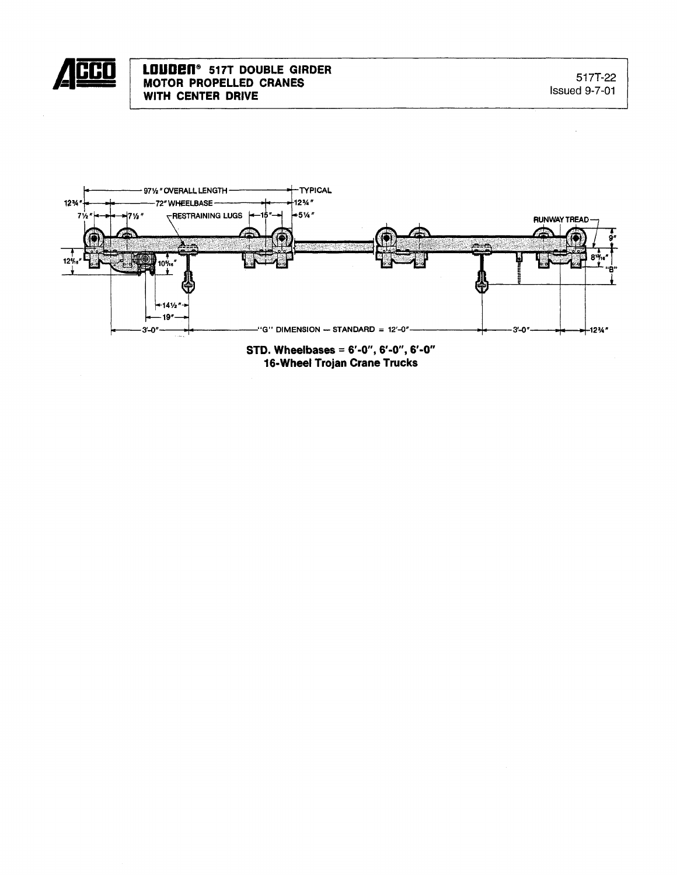



STD. Wheelbases = 6'-0", 6'-0", 6'-0"<br>16-Wheel Trojan Crane Trucks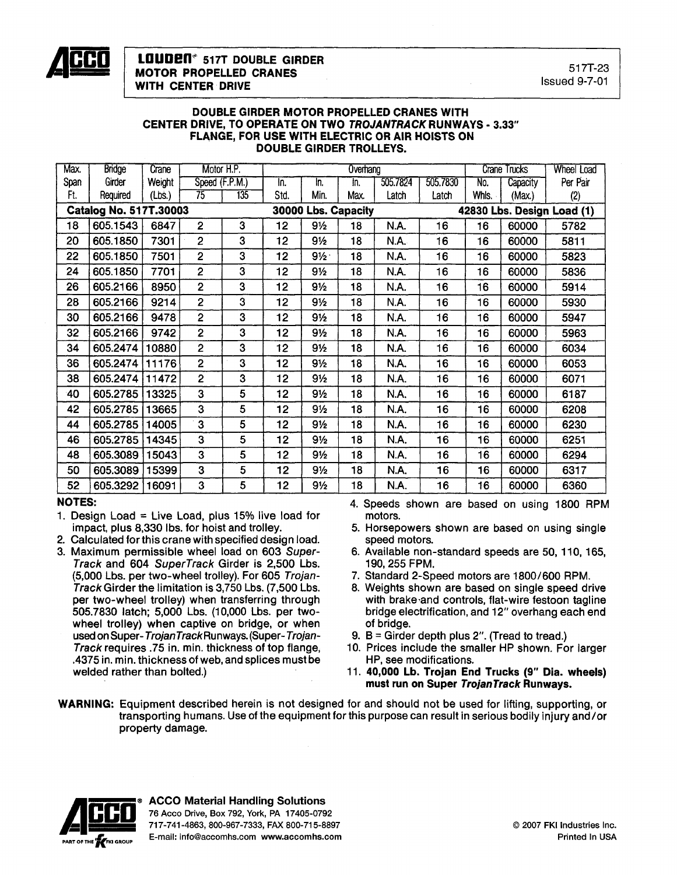

#### DOUBLE GIRDER MOTOR PROPELLED CRANES WITH CENTER DRIVE, TO OPERATE ON TWO TROJANTRACK RUNWAYS - 3.33" FLANGE, FOR USE WITH ELECTRIC OR AIR HOISTS ON DOUBLE GIRDER TROLLEYS.

| Max. | <b>Bridge</b>                 | Crane                 | Motor H.P.     |     |                 |                     | Overhang | <b>Crane Trucks</b> |          | <b>Wheel Load</b> |                            |          |  |
|------|-------------------------------|-----------------------|----------------|-----|-----------------|---------------------|----------|---------------------|----------|-------------------|----------------------------|----------|--|
| Span | Girder                        | Weight                | Speed (F.P.M.) |     | In.             | In.                 | In.      | 505.7824            | 505.7830 | No.               | Capacity                   | Per Pair |  |
| Ft.  | Required                      | (Lbs.)                | 75             | 135 | Std.            | Min.                | Max.     | Latch               | Latch    | Whis.             | (Max.)                     | (2)      |  |
|      | <b>Catalog No. 517T.30003</b> |                       |                |     |                 | 30000 Lbs. Capacity |          |                     |          |                   | 42830 Lbs. Design Load (1) |          |  |
| 18   | 605.1543                      | 6847                  | $\overline{2}$ | 3   | 12 <sub>2</sub> | 91/2                | 18       | N.A.                | 16       | 16                | 60000                      | 5782     |  |
| 20   | 605.1850                      | 7301                  | $\overline{2}$ | 3   | 12              | $9\frac{1}{2}$      | 18       | <b>N.A.</b>         | 16       | 16                | 60000                      | 5811     |  |
| 22   | 605.1850                      | 7501                  | $\overline{2}$ | 3   | 12              | $9\frac{1}{2}$      | 18       | N.A.                | 16       | 16                | 60000                      | 5823     |  |
| 24   | 605.1850                      | 7701                  | $\overline{2}$ | 3   | 12              | 9½                  | 18       | N.A.                | 16       | 16                | 60000                      | 5836     |  |
| 26   | 605.2166                      | 8950                  | $\overline{2}$ | 3   | 12              | $9\frac{1}{2}$      | 18       | N.A.                | 16       | 16                | 60000                      | 5914     |  |
| 28   | 605.2166                      | 9214                  | $\overline{2}$ | 3   | 12              | 91/2                | 18       | N.A.                | 16       | 16                | 60000                      | 5930     |  |
| 30   | 605.2166                      | 9478                  | $\overline{2}$ | 3   | 12              | 9 <sub>2</sub>      | 18       | N.A.                | 16       | 16                | 60000                      | 5947     |  |
| 32   | 605.2166                      | 9742                  | $\overline{2}$ | 3   | 12              | 9½                  | 18       | N.A.                | 16       | 16                | 60000                      | 5963     |  |
| 34   | 605.2474                      | 10880                 | $\overline{2}$ | 3   | 12              | 9½                  | 18       | N.A.                | 16       | 16                | 60000                      | 6034     |  |
| 36   | 605.2474                      | $\vert$ 11176 $\vert$ | $\overline{2}$ | 3   | 12              | 9½                  | 18       | N.A.                | 16       | 16                | 60000                      | 6053     |  |
| 38   | 605.2474                      | 11472                 | $\overline{2}$ | 3   | 12              | 9½                  | 18       | N.A.                | 16       | 16                | 60000                      | 6071     |  |
| 40   | 605.2785                      | 13325                 | 3              | 5   | 12              | 9½                  | 18       | N.A.                | 16       | 16                | 60000                      | 6187     |  |
| 42   | 605.2785                      | 13665                 | 3              | 5   | 12              | $9\frac{1}{2}$      | 18       | N.A.                | 16       | 16                | 60000                      | 6208     |  |
| 44   | 605.2785                      | 14005                 | 3              | 5   | 12              | 9½                  | 18       | N.A.                | 16       | 16                | 60000                      | 6230     |  |
| 46   | 605.2785                      | 14345                 | 3              | 5   | 12              | 9 <sub>2</sub>      | 18       | N.A.                | 16       | 16                | 60000                      | 6251     |  |
| 48   | 605.3089                      | 15043                 | 3              | 5   | 12              | $9\frac{1}{2}$      | 18       | N.A.                | 16       | 16                | 60000                      | 6294     |  |
| 50   | 605.3089                      | 15399                 | 3              | 5   | 12              | $9\frac{1}{2}$      | 18       | N.A.                | 16       | 16                | 60000                      | 6317     |  |
| 52   | 605.3292                      | 16091                 | 3              | 5   | 12              | $9\frac{1}{2}$      | 18       | N.A.                | 16       | 16                | 60000                      | 6360     |  |

### NOTES:

- 1. Design Load = Live Load, plus  $15\%$  live load for impact, plus 8,330 Ibs. for hoist and trolley.
- 2. Calculated forthis crane with specified design load.
- 3. Maximum permissible wheel load on 603 Super-Track and 604 SuperTrack Girder is 2,500 Lbs. (5,000 Lbs. per two-wheel trolley). For 605 Trojan-Track Girder the limitation is 3,750 Lbs. (7,500 Lbs. per two-wheel trolley) when transferring through 505.7830 latch; 5,000 Lbs. (10,000 Lbs. per twowheel trolley) when captive on bridge, or when used on Super-TrojanTrackRunways.(Super-Trojan-Track requires .75 in. min. thickness of top flange, .4375 in. min. thickness of web, and splices must be welded rather than bolted.)

4. Speeds shown are based on using 1800 RPM motors.

- 5. Horsepowers shown are based on using single speed motors.
- 6. Available non-standard speeds are 50, 110, 165, 190, 255 FPM.
- 7. Standard 2-Speed motors are 1800/600 RPM.
- 8. Weights shown are based on single speed drive with brake'and controls, flat-wire festoon tagline bridge electrification, and 12" overhang each end of bridge.
- 9.  $B =$  Girder depth plus 2". (Tread to tread.)
- 10. Prices include the smaller HP shown. For larger HP, see modifications.
- 11. 40,000 Lb. Trojan End Trucks (9" Dia. wheels) must run on Super TrojanTrack Runways.
- WARNING: Equipment described herein is not designed for and should not be used for lifting, supporting, or transporting humans. Use of the equipment for this purpose can result in serious bodily injury and/or property damage.